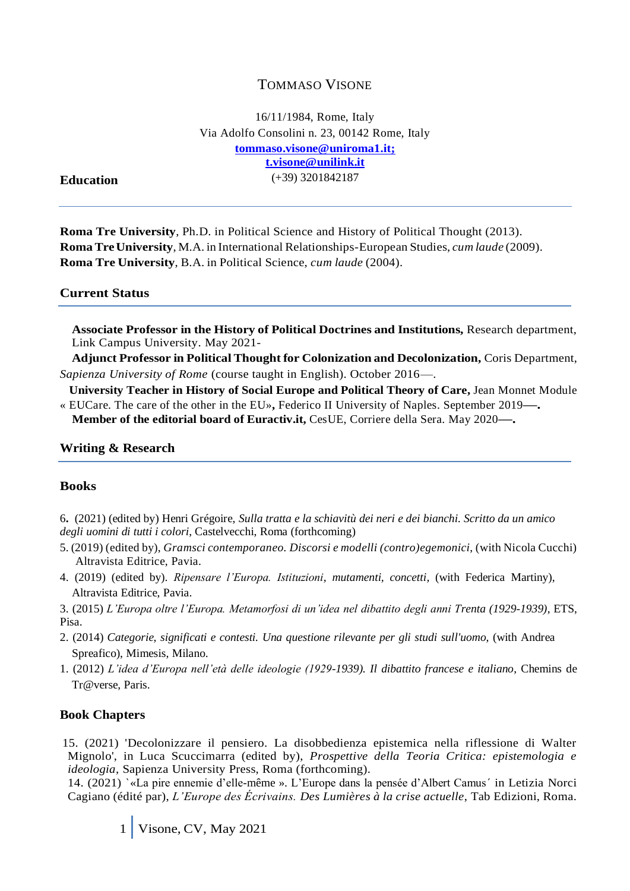# TOMMASO VISONE

16/11/1984, Rome, Italy Via Adolfo Consolini n. 23, 00142 Rome, Italy **[tommaso.visone@uniroma1.it;](mailto:tommaso.visone@uniroma1.it) t.visone@unilink.it** (+39) 3201842187

#### **Education**

**Roma Tre University**, Ph.D. in Political Science and History of Political Thought (2013). **RomaTreUniversity**, M.A. in International Relationships-European Studies, *cum laude* (2009). **Roma Tre University**, B.A. in Political Science, *cum laude* (2004).

#### **Current Status**

**Associate Professor in the History of Political Doctrines and Institutions,** Research department, Link Campus University. May 2021-

**Adjunct Professor in Political Thought for Colonization and Decolonization,** Coris Department, *Sapienza University of Rome* (course taught in English). October 2016—.

 **University Teacher in History of Social Europe and Political Theory of Care,** Jean Monnet Module « EUCare. The care of the other in the EU»**,** Federico II University of Naples. September 2019**—. Member of the editorial board of Euractiv.it,** CesUE, Corriere della Sera. May 2020**—.**

# **Writing & Research**

#### **Books**

6**.** (2021) (edited by) Henri Grégoire, *Sulla tratta e la schiavitù dei neri e dei bianchi. Scritto da un amico degli uomini di tutti i colori*, Castelvecchi, Roma (forthcoming)

- 5. (2019) (edited by), *Gramsci contemporaneo. Discorsi e modelli (contro)egemonici*, (with Nicola Cucchi) Altravista Editrice, Pavia.
- 4. (2019) (edited by). *Ripensare l'Europa. Istituzioni*, *mutamenti, concetti,* (with Federica Martiny), Altravista Editrice, Pavia.

3. (2015) *L'Europa oltre l'Europa. Metamorfosi di un'idea nel dibattito degli anni Trenta (1929-1939)*, ETS, Pisa.

- 2. (2014) *Categorie, significati e contesti. Una questione rilevante per gli studi sull'uomo*, (with Andrea Spreafico), Mimesis, Milano.
- 1. (2012) *L'idea d'Europa nell'età delle ideologie (1929-1939). Il dibattito francese e italiano*, Chemins de Tr@verse, Paris.

#### **Book Chapters**

 15. (2021) 'Decolonizzare il pensiero. La disobbedienza epistemica nella riflessione di Walter Mignolo', in Luca Scuccimarra (edited by), *Prospettive della Teoria Critica: epistemologia e ideologia,* Sapienza University Press, Roma (forthcoming).

14. (2021) `«La pire ennemie d'elle-même ». L'Europe dans la pensée d'Albert Camus´ in Letizia Norci Cagiano (édité par), *L'Europe des Écrivains. Des Lumières à la crise actuelle*, Tab Edizioni, Roma.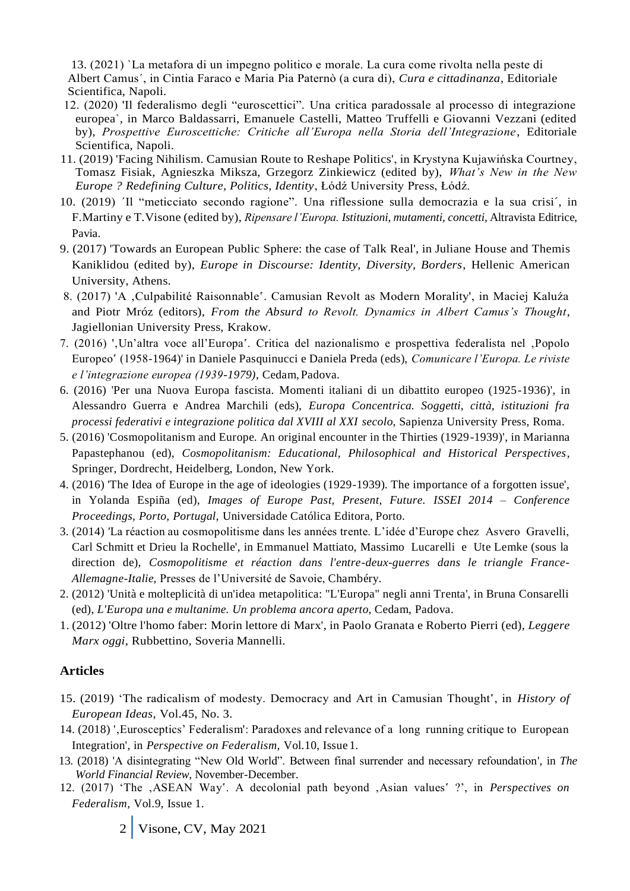13. (2021) `La metafora di un impegno politico e morale. La cura come rivolta nella peste di Albert Camus´, in Cintia Faraco e Maria Pia Paternò (a cura di), *Cura e cittadinanza*, Editoriale Scientifica, Napoli.

- 12. (2020) 'Il federalismo degli "euroscettici". Una critica paradossale al processo di integrazione europea`, in Marco Baldassarri, Emanuele Castelli, Matteo Truffelli e Giovanni Vezzani (edited by), *Prospettive Euroscettiche: Critiche all'Europa nella Storia dell'Integrazione*, Editoriale Scientifica, Napoli.
- 11. (2019) 'Facing Nihilism. Camusian Route to Reshape Politics', in Krystyna Kujawińska Courtney, Tomasz Fisiak, Agnieszka Miksza, Grzegorz Zinkiewicz (edited by), *What's New in the New Europe ? Redefining Culture, Politics, Identity*, Łódź University Press, Łódź.
- 10. (2019) ´Il "meticciato secondo ragione". Una riflessione sulla democrazia e la sua crisi´, in F.Martiny e T.Visone (edited by), *Ripensare l'Europa. Istituzioni*, *mutamenti, concetti,* Altravista Editrice, Pavia.
- 9. (2017) 'Towards an European Public Sphere: the case of Talk Real', in Juliane House and Themis Kaniklidou (edited by), *Europe in Discourse: Identity, Diversity, Borders*, Hellenic American University, Athens.
- 8. (2017) 'A 'Culpabilité Raisonnable'. Camusian Revolt as Modern Morality', in Maciej Kaluźa and Piotr Mróz (editors), *From the Absurd to Revolt. Dynamics in Albert Camus's Thought*, Jagiellonian University Press, Krakow.
- 7. (2016) ',Un'altra voce all'Europa'. Critica del nazionalismo e prospettiva federalista nel ,Popolo Europeo' (1958-1964)' in Daniele Pasquinucci e Daniela Preda (eds), *Comunicare l'Europa. Le riviste e l'integrazione europea (1939-1979)*, Cedam, Padova.
- 6. (2016) 'Per una Nuova Europa fascista. Momenti italiani di un dibattito europeo (1925-1936)', in Alessandro Guerra e Andrea Marchili (eds), *Europa Concentrica. Soggetti, città, istituzioni fra processi federativi e integrazione politica dal XVIII al XXI secolo*, Sapienza University Press, Roma.
- 5. (2016) 'Cosmopolitanism and Europe. An original encounter in the Thirties (1929-1939)', in Marianna Papastephanou (ed), *Cosmopolitanism: Educational, Philosophical and Historical Perspectives*, Springer, Dordrecht, Heidelberg, London, New York.
- 4. (2016) 'The Idea of Europe in the age of ideologies (1929-1939). The importance of a forgotten issue', in Yolanda Espiña (ed), *Images of Europe Past, Present, Future. ISSEI 2014 – Conference Proceedings, Porto, Portugal,* Universidade Católica Editora, Porto.
- 3. (2014) *'*La réaction au cosmopolitisme dans les années trente. L'idée d'Europe chez Asvero Gravelli, Carl Schmitt et Drieu la Rochelle', in Emmanuel Mattiato, Massimo Lucarelli e Ute Lemke (sous la direction de), *Cosmopolitisme et réaction dans l'entre-deux-guerres dans le triangle France-Allemagne-Italie,* Presses de l'Université de Savoie, Chambéry.
- 2. (2012) 'Unità e molteplicità di un'idea metapolitica: "L'Europa" negli anni Trenta', in Bruna Consarelli (ed), *L'Europa una e multanime. Un problema ancora aperto*, Cedam, Padova.
- 1. (2012) 'Oltre l'homo faber: Morin lettore di Marx', in Paolo Granata e Roberto Pierri (ed), *Leggere Marx oggi*, Rubbettino, Soveria Mannelli.

## **Articles**

- 15. (2019) 'The radicalism of modesty. Democracy and Art in Camusian Thought', in *History of European Ideas*, Vol.45, No. 3.
- 14. (2018) ', Eurosceptics' Federalism': Paradoxes and relevance of a long running critique to European Integration', in *Perspective on Federalism*, Vol.10, Issue 1.
- 13. (2018) 'A disintegrating "New Old World". Between final surrender and necessary refoundation', in *The World Financial Review*, November-December.
- 12. (2017) 'The 'ASEAN Way'. A decolonial path beyond 'Asian values' ?', in *Perspectives on Federalism*, Vol.9, Issue 1.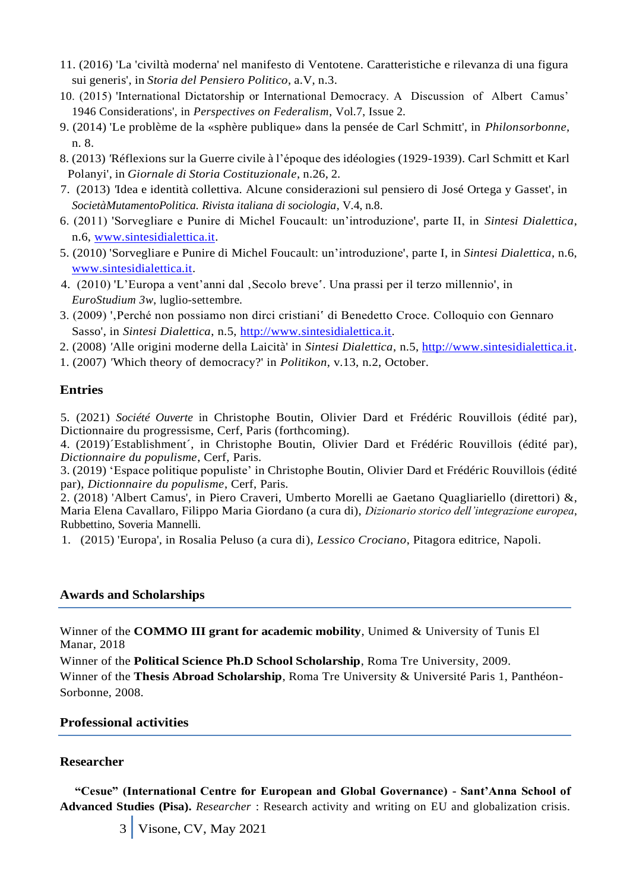- 11. (2016) 'La 'civiltà moderna' nel manifesto di Ventotene. Caratteristiche e rilevanza di una figura sui generis', in *Storia del Pensiero Politico*, a.V, n.3.
- 10. (2015) 'International Dictatorship or International Democracy. A Discussion of Albert Camus' 1946 Considerations', in *Perspectives on Federalism*, Vol.7, Issue 2.
- 9. (2014) 'Le problème de la «sphère publique» dans la pensée de Carl Schmitt', in *Philonsorbonne,* n. 8.
- 8. (2013) *'*Réflexions sur la Guerre civile à l'époque des idéologies (1929-1939). Carl Schmitt et Karl Polanyi', in *Giornale di Storia Costituzionale*, n.26, 2.
- 7. (2013) *'*Idea e identità collettiva. Alcune considerazioni sul pensiero di José Ortega y Gasset', in *SocietàMutamentoPolitica. Rivista italiana di sociologia*, V.4, n.8.
- 6. (2011) 'Sorvegliare e Punire di Michel Foucault: un'introduzione', parte II, in *Sintesi Dialettica*, n.6, [www.sintesidialettica.it.](http://www.sintesidialettica.it/)
- 5. (2010) 'Sorvegliare e Punire di Michel Foucault: un'introduzione', parte I, in *Sintesi Dialettica*, n.6, [www.sintesidialettica.it.](http://www.sintesidialettica.it/)
- 4. (2010) 'L'Europa a vent'anni dal 'Secolo breve'. Una prassi per il terzo millennio', in *EuroStudium 3w*, luglio-settembre.
- 3. (2009) ', Perché non possiamo non dirci cristiani' di Benedetto Croce. Colloquio con Gennaro Sasso', in *Sintesi Dialettica*, n.5, [http://www.sintesidialettica.it.](http://www.sintesidialettica.it/)
- 2. (2008) *'*Alle origini moderne della Laicità' in *Sintesi Dialettica*, n.5, [http://www.sintesidialettica.it.](http://www.sintesidialettica.it/)
- 1. (2007) *'*Which theory of democracy?' in *Politikon*, v.13, n.2, October.

# **Entries**

5. (2021) *Société Ouverte* in Christophe Boutin, Olivier Dard et Frédéric Rouvillois (édité par), Dictionnaire du progressisme, Cerf, Paris (forthcoming).

4. (2019)´Establishment´, in Christophe Boutin, Olivier Dard et Frédéric Rouvillois (édité par), *Dictionnaire du populisme*, Cerf, Paris.

3. (2019) 'Espace politique populiste' in Christophe Boutin, Olivier Dard et Frédéric Rouvillois (édité par), *Dictionnaire du populisme*, Cerf, Paris.

2. (2018) 'Albert Camus', in Piero Craveri, Umberto Morelli ae Gaetano Quagliariello (direttori) &, Maria Elena Cavallaro, Filippo Maria Giordano (a cura di), *Dizionario storico dell'integrazione europea*, Rubbettino, Soveria Mannelli.

1. (2015) 'Europa', in Rosalia Peluso (a cura di), *Lessico Crociano*, Pitagora editrice, Napoli.

## **Awards and Scholarships**

Winner of the **COMMO III grant for academic mobility**, Unimed & University of Tunis El Manar, 2018

Winner of the **Political Science Ph.D School Scholarship**, Roma Tre University, 2009. Winner of the **Thesis Abroad Scholarship**, Roma Tre University & Université Paris 1, Panthéon-Sorbonne, 2008.

## **Professional activities**

# **Researcher**

**"Cesue" (International Centre for European and Global Governance) - Sant'Anna School of Advanced Studies (Pisa).** *Researcher* : Research activity and writing on EU and globalization crisis.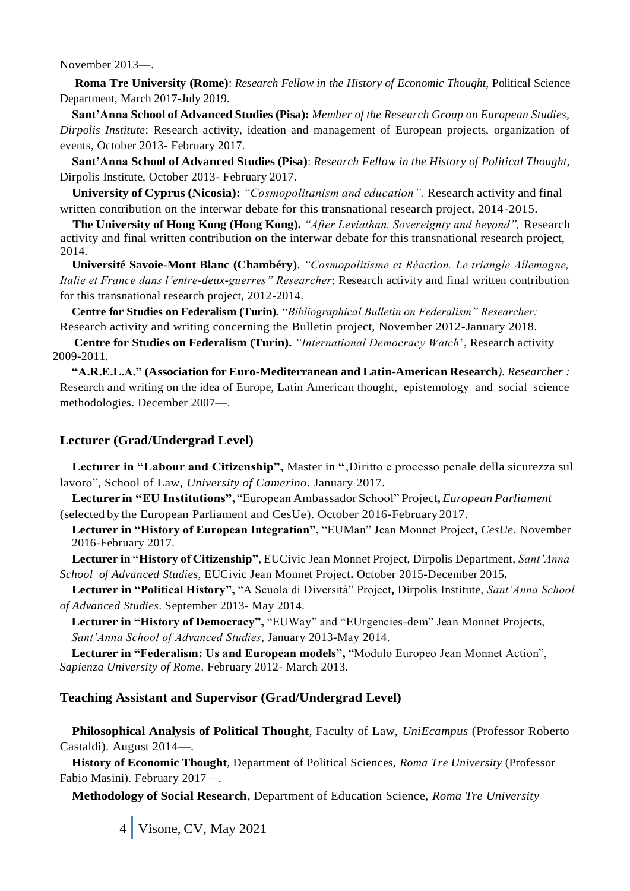November 2013—.

**Roma Tre University (Rome)**: *Research Fellow in the History of Economic Thought*, Political Science Department, March 2017-July 2019.

**Sant'Anna School of Advanced Studies (Pisa):** *Member of the Research Group on European Studies, Dirpolis Institute*: Research activity, ideation and management of European projects, organization of events, October 2013- February 2017.

**Sant'Anna School of Advanced Studies (Pisa)**: *Research Fellow in the History of Political Thought*, Dirpolis Institute, October 2013- February 2017.

**University of Cyprus (Nicosia):** *"Cosmopolitanism and education".* Research activity and final written contribution on the interwar debate for this transnational research project, 2014-2015.

 **The University of Hong Kong (Hong Kong).** *"After Leviathan. Sovereignty and beyond",* Research activity and final written contribution on the interwar debate for this transnational research project, 2014.

**Université Savoie-Mont Blanc (Chambéry)**. *"Cosmopolitisme et Réaction. Le triangle Allemagne, Italie et France dans l'entre-deux-guerres" Researcher*: Research activity and final written contribution for this transnational research project, 2012-2014.

**Centre for Studies on Federalism (Turin).** "*Bibliographical Bulletin on Federalism" Researcher:* Research activity and writing concerning the Bulletin project, November 2012-January 2018.

 **Centre for Studies on Federalism (Turin).** *"International Democracy Watch*', Research activity 2009-2011.

**"A.R.E.L.A." (Association for Euro-Mediterranean and Latin-American Research***). Researcher :*  Research and writing on the idea of Europe, Latin American thought, epistemology and social science methodologies. December 2007—.

# **Lecturer (Grad/Undergrad Level)**

**Lecturer in "Labour and Citizenship",** Master in **"**'Diritto e processo penale della sicurezza sul lavoro", School of Law, *University of Camerino*. January 2017.

**Lecturer in "EU Institutions",** "European Ambassador School" Project**,** *European Parliament* (selected by the European Parliament and CesUe). October 2016-February 2017.

**Lecturer in "History of European Integration",** "EUMan" Jean Monnet Project**,** *CesUe*. November 2016-February 2017.

**Lecturer in "History of Citizenship"**, EUCivic Jean Monnet Project, Dirpolis Department, *Sant'Anna School of Advanced Studies*, EUCivic Jean Monnet Project**.** October 2015-December 2015**.**

**Lecturer in "Political History",** "A Scuola di Diversità" Project**,** Dirpolis Institute, *Sant'Anna School of Advanced Studies*. September 2013- May 2014.

**Lecturer in "History of Democracy",** "EUWay" and "EUrgencies-dem" Jean Monnet Projects, *Sant'Anna School of Advanced Studies*, January 2013-May 2014.

**Lecturer in "Federalism: Us and European models",** "Modulo Europeo Jean Monnet Action", *Sapienza University of Rome*. February 2012- March 2013.

## **Teaching Assistant and Supervisor (Grad/Undergrad Level)**

**Philosophical Analysis of Political Thought**, Faculty of Law, *UniEcampus* (Professor Roberto Castaldi). August 2014—.

**History of Economic Thought**, Department of Political Sciences, *Roma Tre University* (Professor Fabio Masini). February 2017—.

**Methodology of Social Research**, Department of Education Science, *Roma Tre University*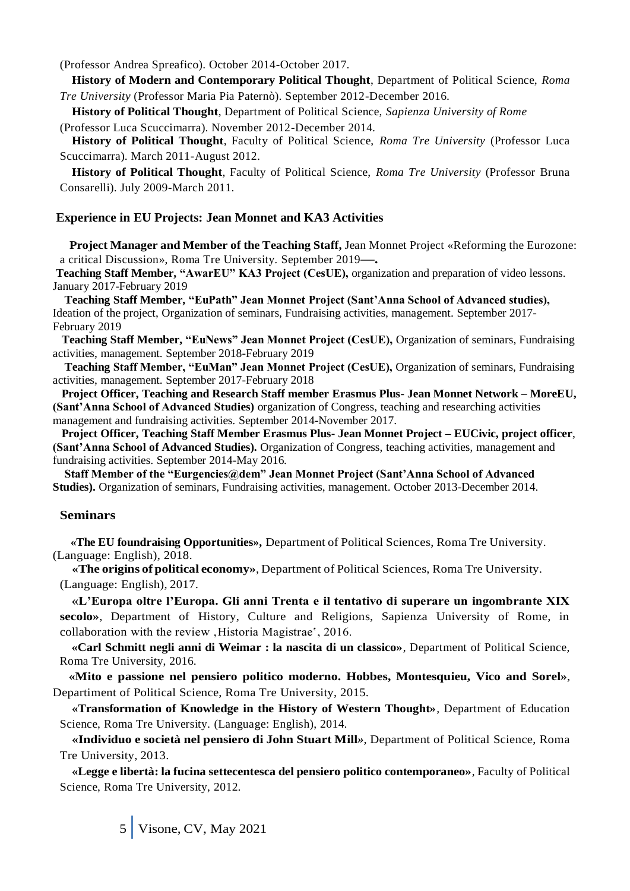(Professor Andrea Spreafico). October 2014-October 2017.

**History of Modern and Contemporary Political Thought**, Department of Political Science, *Roma Tre University* (Professor Maria Pia Paternò). September 2012-December 2016.

**History of Political Thought**, Department of Political Science, *Sapienza University of Rome*

(Professor Luca Scuccimarra). November 2012-December 2014.

**History of Political Thought**, Faculty of Political Science, *Roma Tre University* (Professor Luca Scuccimarra). March 2011-August 2012.

**History of Political Thought**, Faculty of Political Science, *Roma Tre University* (Professor Bruna Consarelli). July 2009-March 2011.

## **Experience in EU Projects: Jean Monnet and KA3 Activities**

 **Project Manager and Member of the Teaching Staff,** Jean Monnet Project «Reforming the Eurozone: a critical Discussion», Roma Tre University. September 2019**—.**

**Teaching Staff Member, "AwarEU" KA3 Project (CesUE),** organization and preparation of video lessons. January 2017-February 2019

 **Teaching Staff Member, "EuPath" Jean Monnet Project (Sant'Anna School of Advanced studies),**  Ideation of the project, Organization of seminars, Fundraising activities, management. September 2017- February 2019

 **Teaching Staff Member, "EuNews" Jean Monnet Project (CesUE),** Organization of seminars, Fundraising activities, management. September 2018-February 2019

 **Teaching Staff Member, "EuMan" Jean Monnet Project (CesUE),** Organization of seminars, Fundraising activities, management. September 2017-February 2018

 **Project Officer, Teaching and Research Staff member Erasmus Plus- Jean Monnet Network – MoreEU, (Sant'Anna School of Advanced Studies)** organization of Congress, teaching and researching activities management and fundraising activities. September 2014-November 2017.

 **Project Officer, Teaching Staff Member Erasmus Plus- Jean Monnet Project – EUCivic, project officer**, **(Sant'Anna School of Advanced Studies).** Organization of Congress, teaching activities, management and fundraising activities. September 2014-May 2016.

 **Staff Member of the "Eurgencies@dem" Jean Monnet Project (Sant'Anna School of Advanced Studies).** Organization of seminars, Fundraising activities, management. October 2013-December 2014.

## **Seminars**

 **«The EU foundraising Opportunities»,** Department of Political Sciences, Roma Tre University. (Language: English), 2018.

**«The origins of political economy»**, Department of Political Sciences, Roma Tre University. (Language: English), 2017.

**«L'Europa oltre l'Europa. Gli anni Trenta e il tentativo di superare un ingombrante XIX secolo»**, Department of History, Culture and Religions, Sapienza University of Rome, in collaboration with the review . Historia Magistrae', 2016.

**«Carl Schmitt negli anni di Weimar : la nascita di un classico»**, Department of Political Science, Roma Tre University, 2016.

 **«Mito e passione nel pensiero politico moderno. Hobbes, Montesquieu, Vico and Sorel»**, Departiment of Political Science, Roma Tre University, 2015.

**«Transformation of Knowledge in the History of Western Thought»***,* Department of Education Science, Roma Tre University. (Language: English), 2014.

**«Individuo e società nel pensiero di John Stuart Mill***»*, Department of Political Science, Roma Tre University, 2013.

**«Legge e libertà: la fucina settecentesca del pensiero politico contemporaneo»**, Faculty of Political Science, Roma Tre University, 2012.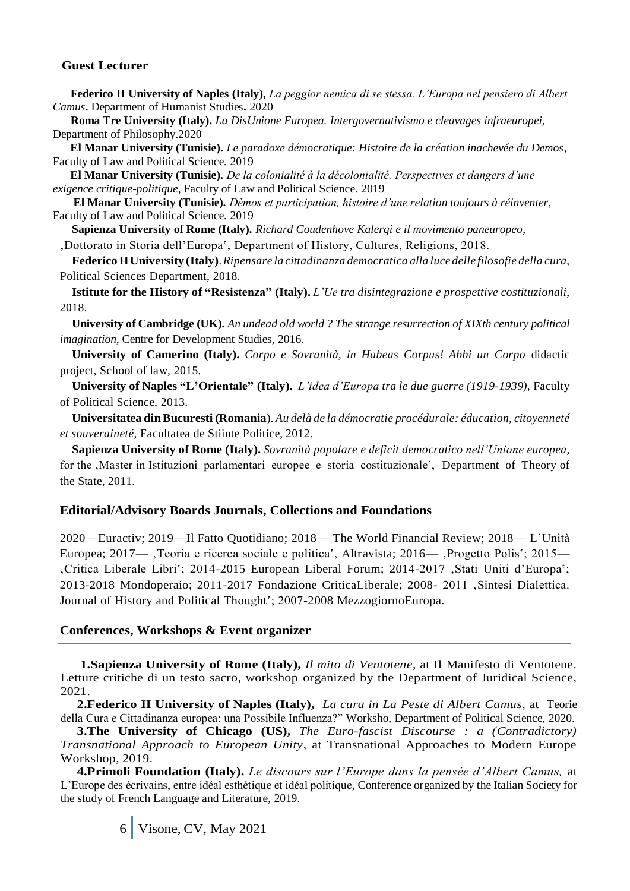#### **Guest Lecturer**

 **Federico II University of Naples (Italy),** *La peggior nemica di se stessa. L'Europa nel pensiero di Albert Camus***.** Department of Humanist Studies**.** 2020

 **Roma Tre University (Italy).** *La DisUnione Europea. Intergovernativismo e cleavages infraeuropei,*  Department of Philosophy.2020

 **El Manar University (Tunisie).** *Le paradoxe démocratique: Histoire de la création inachevée du Demos*, Faculty of Law and Political Science. 2019

 **El Manar University (Tunisie).** *De la colonialité à la décolonialité. Perspectives et dangers d'une exigence critique-politique*, Faculty of Law and Political Science. 2019

 **El Manar University (Tunisie).** *Dèmos et participation, histoire d'une relation toujours à réinventer,*  Faculty of Law and Political Science. 2019

**Sapienza University of Rome (Italy).** *Richard Coudenhove Kalergi e il movimento paneuropeo*,

'Dottorato in Storia dell'Europa', Department of History, Cultures, Religions, 2018.

**Federico IIUniversity (Italy)**.*Ripensare la cittadinanza democratica alla luce delle filosofie della cura*, Political Sciences Department, 2018.

**Istitute for the History of "Resistenza" (Italy).** *L'Ue tra disintegrazione e prospettive costituzionali*, 2018.

**University of Cambridge (UK).** *An undead old world ? The strange resurrection of XIXth century political imagination*, Centre for Development Studies, 2016.

**University of Camerino (Italy).** *Corpo e Sovranità, in Habeas Corpus! Abbi un Corpo* didactic project, School of law, 2015.

**University of Naples "L'Orientale" (Italy).** *L'idea d'Europa tra le due guerre (1919-1939),* Faculty of Political Science, 2013.

**Universitatea dinBucuresti (Romania**). *Au delà de la démocratie procédurale: éducation, citoyenneté et souveraineté,* Facultatea de Stiinte Politice, 2012.

**Sapienza University of Rome (Italy).** *Sovranità popolare e deficit democratico nell'Unione europea,*  for the , Master in Istituzioni parlamentari europee e storia costituzionale', Department of Theory of the State, 2011.

#### **Editorial/Advisory Boards Journals, Collections and Foundations**

2020—Euractiv; 2019—Il Fatto Quotidiano; 2018— The World Financial Review; 2018— L'Unità Europea; 2017—, Teoria e ricerca sociale e politica', Altravista; 2016—, Progetto Polis'; 2015— 'Critica Liberale Libri'; 2014-2015 European Liberal Forum; 2014-2017 'Stati Uniti d'Europa'; 2013-2018 Mondoperaio; 2011-2017 Fondazione CriticaLiberale; 2008- 2011 'Sintesi Dialettica. Journal of History and Political Thought'; 2007-2008 MezzogiornoEuropa.

#### **Conferences, Workshops & Event organizer**

 **1.Sapienza University of Rome (Italy),** *Il mito di Ventotene*, at Il Manifesto di Ventotene. Letture critiche di un testo sacro, workshop organized by the Department of Juridical Science, 2021.

 **2.Federico II University of Naples (Italy),** *La cura in La Peste di Albert Camus*, at Teorie della Cura e Cittadinanza europea: una Possibile Influenza?" Worksho, Department of Political Science, 2020.

 **3.The University of Chicago (US),** *The Euro-fascist Discourse : a (Contradictory) Transnational Approach to European Unity*, at Transnational Approaches to Modern Europe Workshop, 2019.

 **4.Primoli Foundation (Italy).** *Le discours sur l'Europe dans la pensée d'Albert Camus,* at L'Europe des écrivains, entre idéal esthétique et idéal politique, Conference organized by the Italian Society for the study of French Language and Literature, 2019.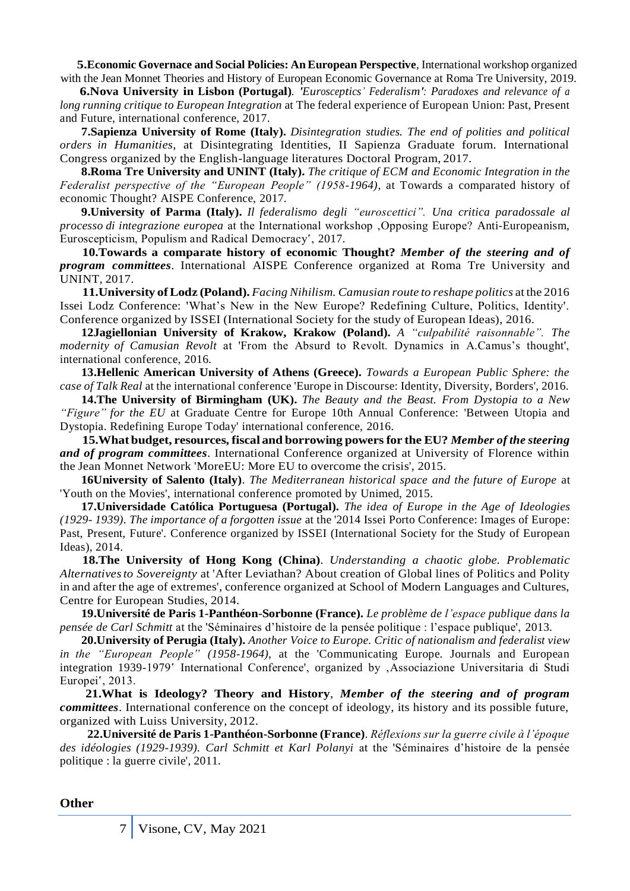**5.Economic Governace and Social Policies: An European Perspective***,* International workshop organized with the Jean Monnet Theories and History of European Economic Governance at Roma Tre University, 2019.

 **6.Nova University in Lisbon (Portugal)***. 'Eurosceptics' Federalism': Paradoxes and relevance of a long running critique to European Integration* at The federal experience of European Union: Past, Present and Future, international conference, 2017.

 **7.Sapienza University of Rome (Italy).** *Disintegration studies. The end of polities and political orders in Humanities*, at Disintegrating Identities, II Sapienza Graduate forum. International Congress organized by the English-language literatures Doctoral Program, 2017.

 **8.Roma Tre University and UNINT (Italy).** *The critique of ECM and Economic Integration in the Federalist perspective of the "European People" (1958-1964)*, at Towards a comparated history of economic Thought? AISPE Conference, 2017.

 **9.University of Parma (Italy).** *Il federalismo degli "euroscettici". Una critica paradossale al processo di integrazione europea* at the International workshop , Opposing Europe? Anti-Europeanism, Euroscepticism, Populism and Radical Democracy', 2017.

 **10.Towards a comparate history of economic Thought?** *Member of the steering and of program committees*. International AISPE Conference organized at Roma Tre University and UNINT, 2017.

 **11.University ofLodz (Poland).** *Facing Nihilism. Camusian route to reshape politics* at the 2016 Issei Lodz Conference: 'What's New in the New Europe? Redefining Culture, Politics, Identity'. Conference organized by ISSEI (International Society for the study of European Ideas), 2016.

 **12Jagiellonian University of Krakow, Krakow (Poland).** *A "culpabilité raisonnable". The modernity of Camusian Revolt* at 'From the Absurd to Revolt. Dynamics in A.Camus's thought', international conference, 2016.

 **13.Hellenic American University of Athens (Greece).** *Towards a European Public Sphere: the case of Talk Real* at the international conference 'Europe in Discourse: Identity, Diversity, Borders', 2016.

 **14.The University of Birmingham (UK).** *The Beauty and the Beast. From Dystopia to a New "Figure" for the EU* at Graduate Centre for Europe 10th Annual Conference: 'Between Utopia and Dystopia. Redefining Europe Today' international conference, 2016.

 **15.What budget, resources, fiscal and borrowing powersfor the EU?** *Member of the steering and of program committees*. International Conference organized at University of Florence within the Jean Monnet Network 'MoreEU: More EU to overcome the crisis', 2015.

 **16University of Salento (Italy)**. *The Mediterranean historical space and the future of Europe* at 'Youth on the Movies', international conference promoted by Unimed, 2015.

 **17.Universidade Católica Portuguesa (Portugal).** *The idea of Europe in the Age of Ideologies (1929- 1939). The importance of a forgotten issue* at the '2014 Issei Porto Conference: Images of Europe: Past, Present, Future'. Conference organized by ISSEI (International Society for the Study of European Ideas), 2014.

 **18.The University of Hong Kong (China)**. *Understanding a chaotic globe. Problematic Alternativesto Sovereignty* at 'After Leviathan? About creation of Global lines of Politics and Polity in and after the age of extremes', conference organized at School of Modern Languages and Cultures, Centre for European Studies, 2014.

 **19.Université de Paris 1-Panthéon-Sorbonne (France).** *Le problème de l'espace publique dans la pensée de Carl Schmitt* at the 'Séminaires d'histoire de la pensée politique : l'espace publique', 2013.

 **20.University of Perugia (Italy).** *Another Voice to Europe. Critic of nationalism and federalist view in the "European People" (1958-1964)*, at the 'Communicating Europe. Journals and European integration 1939-1979' International Conference', organized by , Associazione Universitaria di Studi Europei', 2013.

 **21.What is Ideology? Theory and History**, *Member of the steering and of program committees*. International conference on the concept of ideology, its history and its possible future, organized with Luiss University, 2012.

 **22.Université de Paris 1-Panthéon-Sorbonne (France)**. *Réflexions sur la guerre civile à l'époque des idéologies (1929-1939). Carl Schmitt et Karl Polanyi* at the 'Séminaires d'histoire de la pensée politique : la guerre civile', 2011.

**Other**